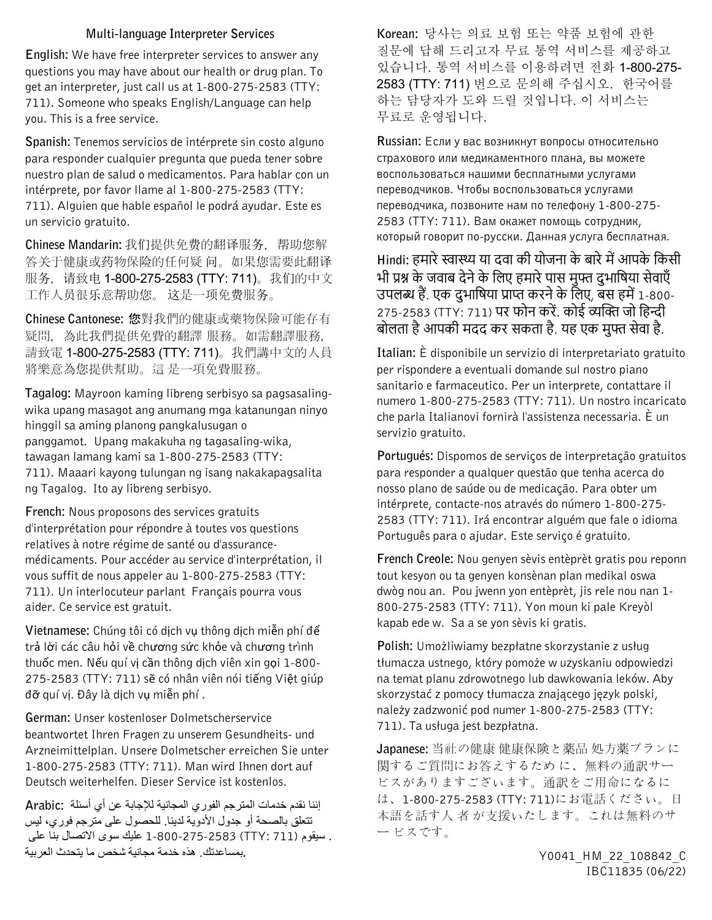## **Multi-language Interpreter Services**

**English:** We have free interpreter services to answer any questions you may have about our health or drug plan. To get an interpreter, just call us at 1-800-275-2583 (TTY: 711). Someone who speaks English/Language can help you. This is a free service.

**Spanish:** Tenemos servicios de intérprete sin costo alguno para responder cualquier pregunta que pueda tener sobre nuestro plan de salud o medicamentos. Para hablar con un intérprete, por favor llame al 1-800-275-2583 (TTY: 711). Alguien que hable español le podrá ayudar. Este es un servicio gratuito.

**Chinese Mandarin:** 我们提供免费的翻译服务,帮助您解 答关于健康或药物保险的任何疑 问。如果您需要此翻译 服务, 请致电 1-800-275-2583 (TTY: 711)。我们的中文 工作人员很乐意帮助您。 这是一项免费服务。

**Chinese Cantonese:** 您對我們的健康或藥物保險可能存有 疑問,為此我們提供免費的翻譯 服務。如需翻譯服務, 請致電 1-800-275-2583 (TTY: 711)。我們講中文的人員 將樂意為您提供幫助。這 是一項免費服務。

**Tagalog:** Mayroon kaming libreng serbisyo sa pagsasalingwika upang masagot ang anumang mga katanungan ninyo hinggil sa aming planong pangkalusugan o panggamot. Upang makakuha ng tagasaling-wika, tawagan lamang kami sa 1-800-275-2583 (TTY: 711). Maaari kayong tulungan ng isang nakakapagsalita ng Tagalog. Ito ay libreng serbisyo.

**French:** Nous proposons des services gratuits d'interprétation pour répondre à toutes vos questions relatives à notre régime de santé ou d'assurancemédicaments. Pour accéder au service d'interprétation, il vous suffit de nous appeler au 1-800-275-2583 (TTY: 711). Un interlocuteur parlant Français pourra vous aider. Ce service est gratuit.

**Vietnamese:** Chúng tôi có dịch vụ thông dịch miễn phí để trả lời các câu hỏi về chương sức khỏe và chương trình thuốc men. Nếu quí vị cần thông dịch viên xin gọi 1-800- 275-2583 (TTY: 711) sẽ có nhân viên nói tiếng Việt giúp đỡ quí vị. Đây là dịch vụ miễn phí .

**German:** Unser kostenloser Dolmetscherservice beantwortet Ihren Fragen zu unserem Gesundheits- und Arzneimittelplan. Unsere Dolmetscher erreichen Sie unter 1-800-275-2583 (TTY: 711). Man wird Ihnen dort auf Deutsch weiterhelfen. Dieser Service ist kostenlos.

إننا نقدم خدمات المترجم الفوري المجانیة للإجابة عن أي أسئلة **:Arabic** تتعلق بالصحة أو جدول الأدویة لدینا. للحصول على مترجم فوري، لیس . سیقوم (711 :TTY (1-800-275-2583 علیك سوى الاتصال بنا على **.**بمساعدتك. ھذه خدمة مجانیة شخص ما یتحدث العربیة

**Korean:** 당사는 의료 보험 또는 약품 보험에 관한 질문에 답해 드리고자 무료 통역 서비스를 제공하고 있습니다. 통역 서비스를 이용하려면 전화 1-800-275- 2583 (TTY: 711) 번으로 문의해 주십시오. 한국어를 하는 담당자가 도와 드릴 것입니다. 이 서비스는 무료로 운영됩니다.

**Russian:** Если у вас возникнут вопросы относительно страхового или медикаментного плана, вы можете воспользоваться нашими бесплатными услугами переводчиков. Чтобы воспользоваться услугами переводчика, позвоните нам по телефону 1-800-275- 2583 (TTY: 711). Вам окажет помощь сотрудник, который говорит по-pусски. Данная услуга бесплатная.

Hindi: हमारे स्वास्थ्य या दवा की योजना के बारे में आपके किसी भी प्रश्न के जवाब देने के लिए हमारे पास मुफ्त दुभाषिया सेवाएँ उपलब्ध हैं. एक दुभाषिया प्राप्त करने के लिए, बस हमें 1-800-275-2583 (TTY: 711) पर फोन करें. कोई व्यक्ति जो हिन्दी बोलता है आपकी मदद कर सकता है. यह एक मुफ्त सेवा है.

**Italian:** È disponibile un servizio di interpretariato gratuito per rispondere a eventuali domande sul nostro piano sanitario e farmaceutico. Per un interprete, contattare il numero 1-800-275-2583 (TTY: 711). Un nostro incaricato che parla Italianovi fornirà l'assistenza necessaria. È un servizio gratuito.

**Portugués:** Dispomos de serviços de interpretação gratuitos para responder a qualquer questão que tenha acerca do nosso plano de saúde ou de medicação. Para obter um intérprete, contacte-nos através do número 1-800-275- 2583 (TTY: 711). Irá encontrar alguém que fale o idioma Português para o ajudar. Este serviço é gratuito.

**French Creole:** Nou genyen sèvis entèprèt gratis pou reponn tout kesyon ou ta genyen konsènan plan medikal oswa dwòg nou an. Pou jwenn yon entèprèt, jis rele nou nan 1- 800-275-2583 (TTY: 711). Yon moun ki pale Kreyòl kapab ede w. Sa a se yon sèvis ki gratis.

**Polish:** Umożliwiamy bezpłatne skorzystanie z usług tłumacza ustnego, który pomoże w uzyskaniu odpowiedzi na temat planu zdrowotnego lub dawkowania leków. Aby skorzystać z pomocy tłumacza znającego język polski, należy zadzwonić pod numer 1-800-275-2583 (TTY: 711). Ta usługa jest bezpłatna.

**Japanese:** 当社の健康 健康保険と薬品 処方薬プランに 関するご質問にお答えするため に、無料の通訳サー ビスがありますございます。通訳をご用命になるに は、1-800-275-2583 (TTY: 711)にお電話ください。日 本語を話す人 者 が支援いたします。これは無料のサ ー ビスです。